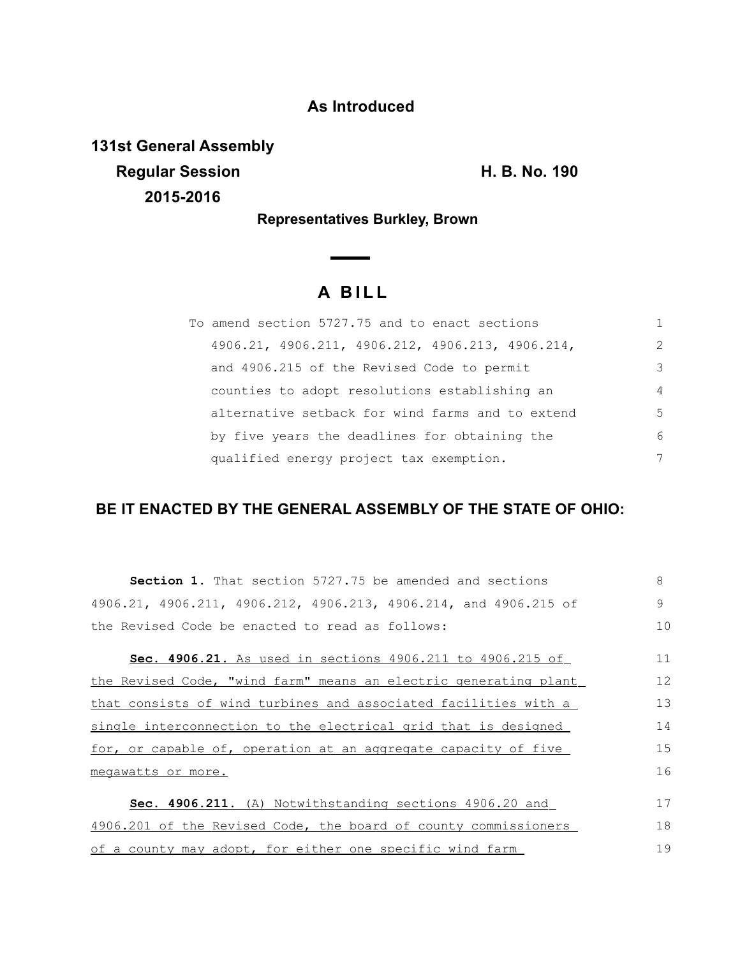## **As Introduced**

**131st General Assembly Regular Session Contract Contract Contract Contract Contract Contract Contract Contract Contract Contract Contract Contract Contract Contract Contract Contract Contract Contract Contract Contract Contract Contract Contrac 2015-2016**

**Representatives Burkley, Brown** 

 $\overline{\phantom{0}}$ 

## **A B I L L**

| To amend section 5727.75 and to enact sections   |                |
|--------------------------------------------------|----------------|
| 4906.21, 4906.211, 4906.212, 4906.213, 4906.214, | $\mathcal{L}$  |
| and 4906.215 of the Revised Code to permit       | 3              |
| counties to adopt resolutions establishing an    | $\overline{4}$ |
| alternative setback for wind farms and to extend | 5              |
| by five years the deadlines for obtaining the    | 6              |
| qualified energy project tax exemption.          | 7              |

## **BE IT ENACTED BY THE GENERAL ASSEMBLY OF THE STATE OF OHIO:**

| <b>Section 1.</b> That section 5727.75 be amended and sections   | 8  |
|------------------------------------------------------------------|----|
| 4906.21, 4906.211, 4906.212, 4906.213, 4906.214, and 4906.215 of | 9  |
| the Revised Code be enacted to read as follows:                  | 10 |
| Sec. 4906.21. As used in sections 4906.211 to 4906.215 of        | 11 |
| the Revised Code, "wind farm" means an electric generating plant | 12 |
| that consists of wind turbines and associated facilities with a  | 13 |
| single interconnection to the electrical grid that is designed   | 14 |
| for, or capable of, operation at an aggregate capacity of five   | 15 |
| megawatts or more.                                               | 16 |
| Sec. 4906.211. (A) Notwithstanding sections 4906.20 and          | 17 |
| 4906.201 of the Revised Code, the board of county commissioners  | 18 |
| of a county may adopt, for either one specific wind farm         | 19 |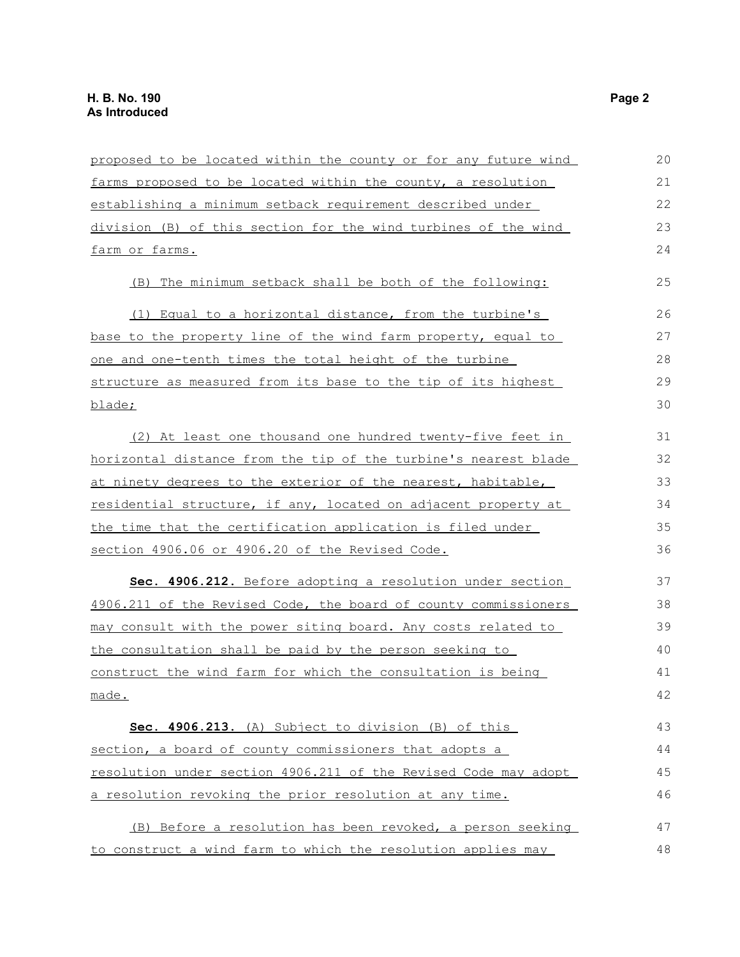| proposed to be located within the county or for any future wind | 20 |
|-----------------------------------------------------------------|----|
| farms proposed to be located within the county, a resolution    | 21 |
| establishing a minimum setback requirement described under      | 22 |
| division (B) of this section for the wind turbines of the wind  | 23 |
| farm or farms.                                                  | 24 |
| (B) The minimum setback shall be both of the following:         | 25 |
| (1) Equal to a horizontal distance, from the turbine's          | 26 |
| base to the property line of the wind farm property, equal to   | 27 |
| one and one-tenth times the total height of the turbine         | 28 |
| structure as measured from its base to the tip of its highest   | 29 |
| blade;                                                          | 30 |
| (2) At least one thousand one hundred twenty-five feet in       | 31 |
| horizontal distance from the tip of the turbine's nearest blade | 32 |
| at ninety degrees to the exterior of the nearest, habitable,    | 33 |
| residential structure, if any, located on adjacent property at  | 34 |
| the time that the certification application is filed under      | 35 |
| section 4906.06 or 4906.20 of the Revised Code.                 | 36 |
| Sec. 4906.212. Before adopting a resolution under section       | 37 |
| 4906.211 of the Revised Code, the board of county commissioners | 38 |
| may consult with the power siting board. Any costs related to   | 39 |
| the consultation shall be paid by the person seeking to         | 40 |
| construct the wind farm for which the consultation is being     | 41 |
| made.                                                           | 42 |
| Sec. 4906.213. (A) Subject to division (B) of this              | 43 |
| section, a board of county commissioners that adopts a          | 44 |
| resolution under section 4906.211 of the Revised Code may adopt | 45 |
| a resolution revoking the prior resolution at any time.         | 46 |
| (B) Before a resolution has been revoked, a person seeking      | 47 |
| to construct a wind farm to which the resolution applies may    | 48 |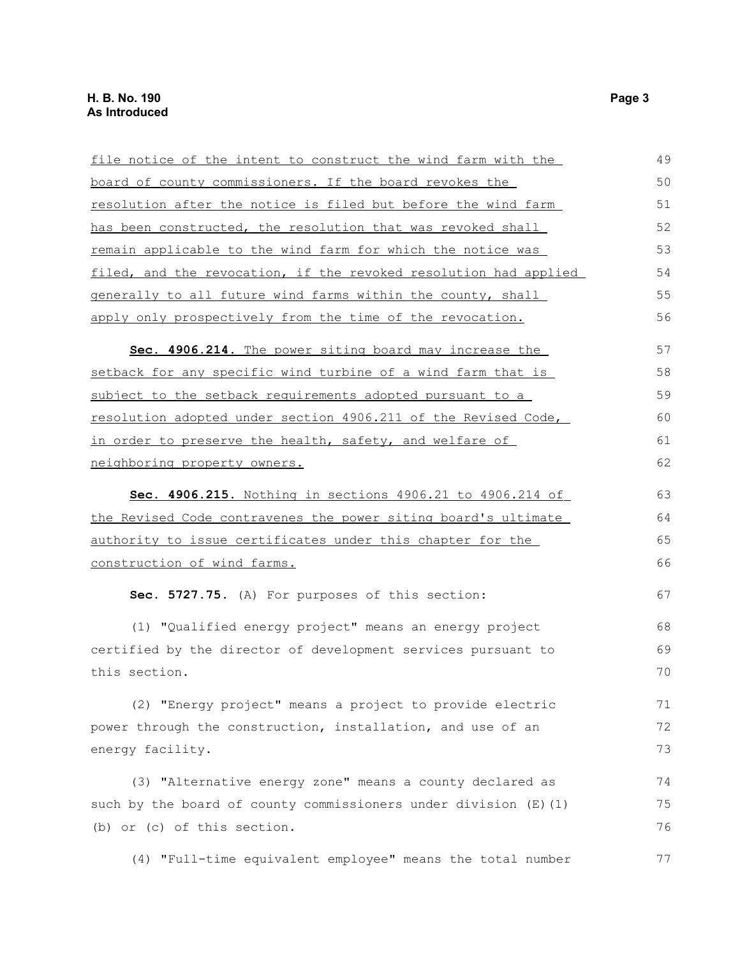| file notice of the intent to construct the wind farm with the    | 49 |
|------------------------------------------------------------------|----|
| board of county commissioners. If the board revokes the          | 50 |
| resolution after the notice is filed but before the wind farm    | 51 |
| has been constructed, the resolution that was revoked shall      | 52 |
| remain applicable to the wind farm for which the notice was      | 53 |
| filed, and the revocation, if the revoked resolution had applied | 54 |
| generally to all future wind farms within the county, shall      | 55 |
| apply only prospectively from the time of the revocation.        | 56 |
| Sec. 4906.214. The power siting board may increase the           | 57 |
| setback for any specific wind turbine of a wind farm that is     | 58 |
| subject to the setback requirements adopted pursuant to a        | 59 |
| resolution adopted under section 4906.211 of the Revised Code,   | 60 |
| in order to preserve the health, safety, and welfare of          | 61 |
| neighboring property owners.                                     | 62 |
| Sec. 4906.215. Nothing in sections 4906.21 to 4906.214 of        | 63 |
| the Revised Code contravenes the power siting board's ultimate   | 64 |
| authority to issue certificates under this chapter for the       | 65 |
| construction of wind farms.                                      | 66 |
| Sec. 5727.75. (A) For purposes of this section:                  | 67 |
| (1) "Qualified energy project" means an energy project           | 68 |
| certified by the director of development services pursuant to    | 69 |
| this section.                                                    | 70 |
| (2) "Energy project" means a project to provide electric         | 71 |
| power through the construction, installation, and use of an      | 72 |
| energy facility.                                                 | 73 |
| (3) "Alternative energy zone" means a county declared as         | 74 |
| such by the board of county commissioners under division (E) (1) | 75 |
| (b) or (c) of this section.                                      | 76 |
| (4) "Full-time equivalent employee" means the total number       | 77 |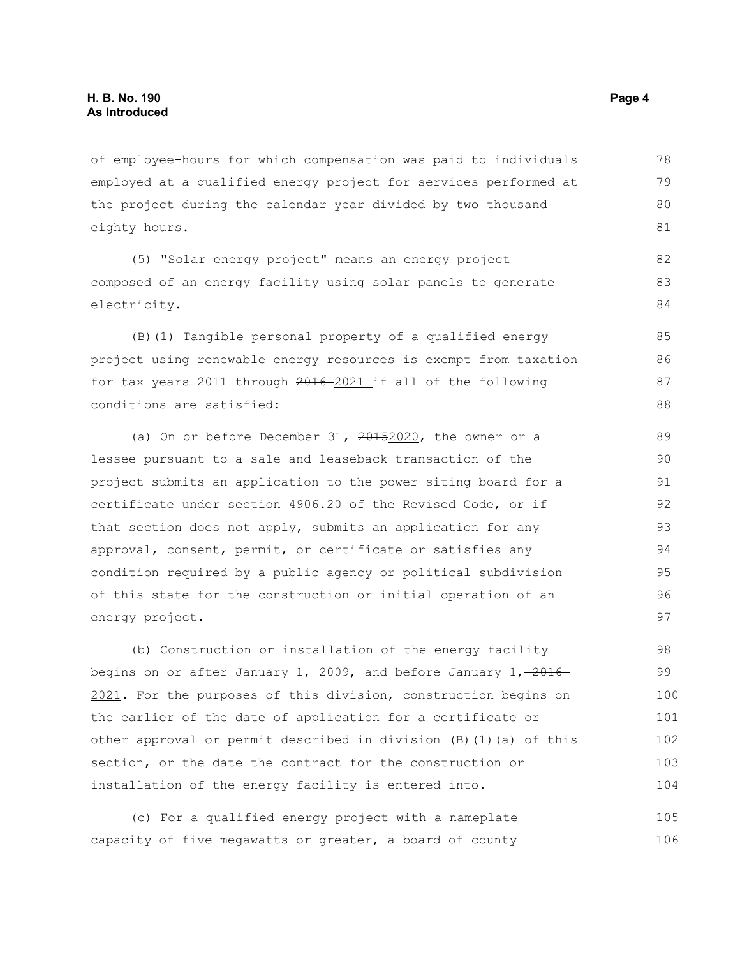of employee-hours for which compensation was paid to individuals employed at a qualified energy project for services performed at the project during the calendar year divided by two thousand eighty hours. 78 79 80 81

(5) "Solar energy project" means an energy project composed of an energy facility using solar panels to generate electricity.

(B)(1) Tangible personal property of a qualified energy project using renewable energy resources is exempt from taxation for tax years 2011 through 2016 2021 if all of the following conditions are satisfied:

(a) On or before December 31, 20152020, the owner or a lessee pursuant to a sale and leaseback transaction of the project submits an application to the power siting board for a certificate under section 4906.20 of the Revised Code, or if that section does not apply, submits an application for any approval, consent, permit, or certificate or satisfies any condition required by a public agency or political subdivision of this state for the construction or initial operation of an energy project.

(b) Construction or installation of the energy facility begins on or after January 1, 2009, and before January  $1, -2016 - 1$ 2021. For the purposes of this division, construction begins on the earlier of the date of application for a certificate or other approval or permit described in division (B)(1)(a) of this section, or the date the contract for the construction or installation of the energy facility is entered into. 98 99 100 101 102 103 104

(c) For a qualified energy project with a nameplate capacity of five megawatts or greater, a board of county 105 106

82 83 84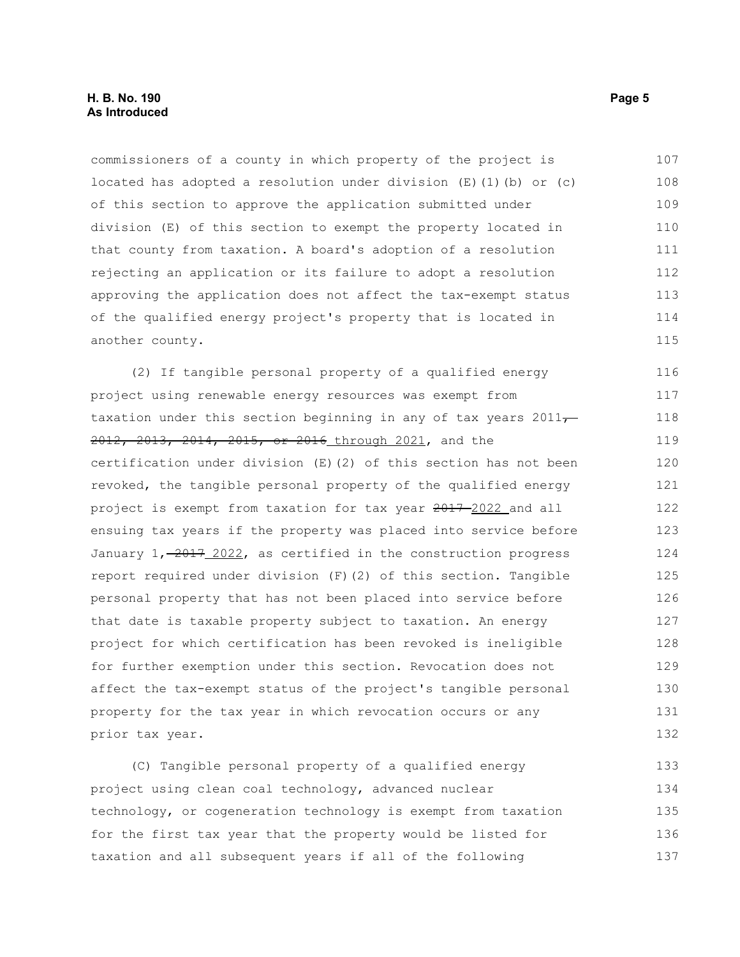commissioners of a county in which property of the project is located has adopted a resolution under division  $(E)$  (1)(b) or (c) of this section to approve the application submitted under division (E) of this section to exempt the property located in that county from taxation. A board's adoption of a resolution rejecting an application or its failure to adopt a resolution approving the application does not affect the tax-exempt status of the qualified energy project's property that is located in another county. 107 108 109 110 111 112 113 114 115

(2) If tangible personal property of a qualified energy project using renewable energy resources was exempt from taxation under this section beginning in any of tax years  $2011<sub>7</sub>$ 2012, 2013, 2014, 2015, or 2016 through 2021, and the certification under division (E)(2) of this section has not been revoked, the tangible personal property of the qualified energy project is exempt from taxation for tax year 2017 2022 and all ensuing tax years if the property was placed into service before January  $1, -2017, 2022$ , as certified in the construction progress report required under division (F)(2) of this section. Tangible personal property that has not been placed into service before that date is taxable property subject to taxation. An energy project for which certification has been revoked is ineligible for further exemption under this section. Revocation does not affect the tax-exempt status of the project's tangible personal property for the tax year in which revocation occurs or any prior tax year. 116 117 118 119 120 121 122 123 124 125 126 127 128 129 130 131 132

(C) Tangible personal property of a qualified energy project using clean coal technology, advanced nuclear technology, or cogeneration technology is exempt from taxation for the first tax year that the property would be listed for taxation and all subsequent years if all of the following 133 134 135 136 137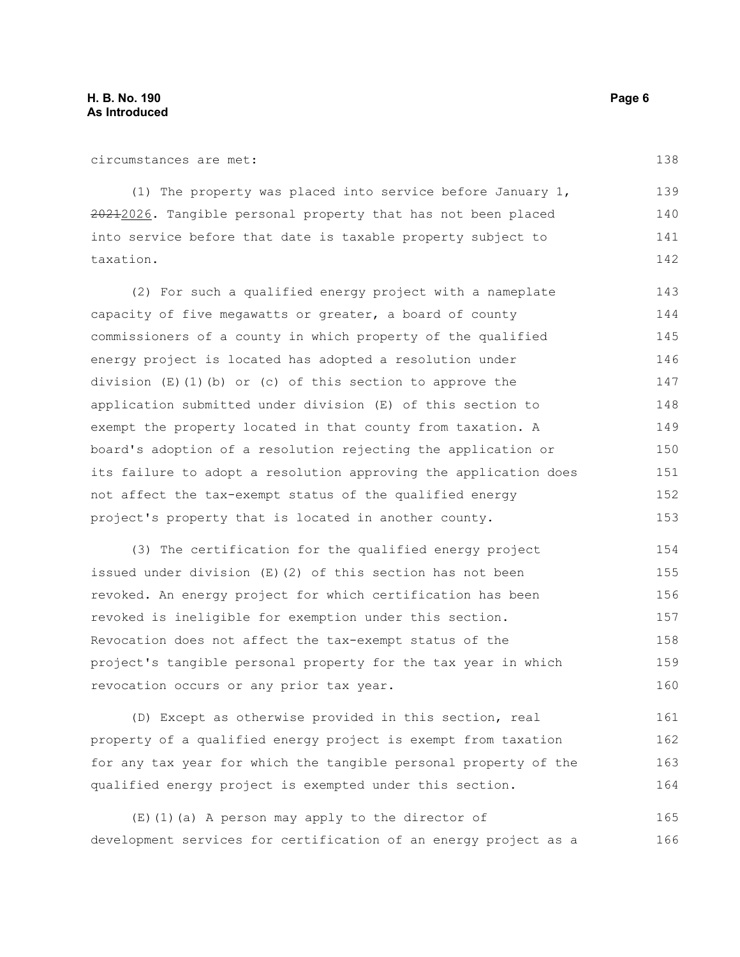circumstances are met:

(1) The property was placed into service before January 1, 20212026. Tangible personal property that has not been placed into service before that date is taxable property subject to taxation. 139 140 141 142

(2) For such a qualified energy project with a nameplate capacity of five megawatts or greater, a board of county commissioners of a county in which property of the qualified energy project is located has adopted a resolution under division (E)(1)(b) or (c) of this section to approve the application submitted under division (E) of this section to exempt the property located in that county from taxation. A board's adoption of a resolution rejecting the application or its failure to adopt a resolution approving the application does not affect the tax-exempt status of the qualified energy project's property that is located in another county. 143 144 145 146 147 148 149 150 151 152 153

(3) The certification for the qualified energy project issued under division (E)(2) of this section has not been revoked. An energy project for which certification has been revoked is ineligible for exemption under this section. Revocation does not affect the tax-exempt status of the project's tangible personal property for the tax year in which revocation occurs or any prior tax year. 154 155 156 157 158 159 160

(D) Except as otherwise provided in this section, real property of a qualified energy project is exempt from taxation for any tax year for which the tangible personal property of the qualified energy project is exempted under this section. 161 162 163 164

(E)(1)(a) A person may apply to the director of development services for certification of an energy project as a 165 166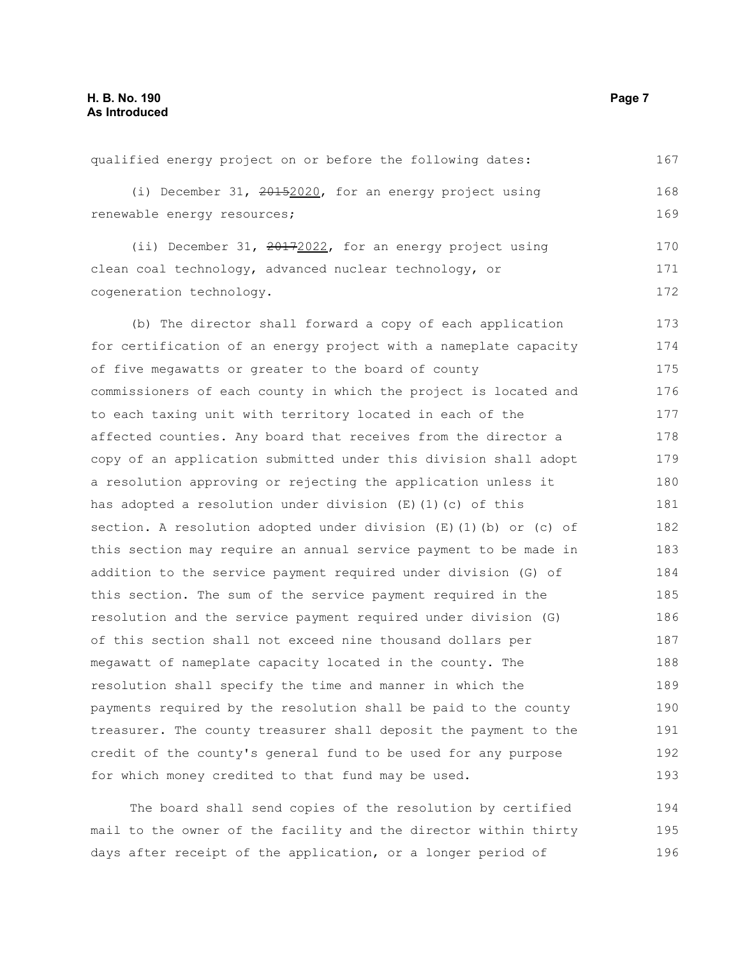qualified energy project on or before the following dates: (i) December 31, 20152020, for an energy project using renewable energy resources; (ii) December 31, 20172022, for an energy project using clean coal technology, advanced nuclear technology, or cogeneration technology. (b) The director shall forward a copy of each application for certification of an energy project with a nameplate capacity of five megawatts or greater to the board of county commissioners of each county in which the project is located and to each taxing unit with territory located in each of the affected counties. Any board that receives from the director a copy of an application submitted under this division shall adopt a resolution approving or rejecting the application unless it has adopted a resolution under division (E)(1)(c) of this section. A resolution adopted under division (E)(1)(b) or (c) of this section may require an annual service payment to be made in addition to the service payment required under division (G) of this section. The sum of the service payment required in the resolution and the service payment required under division (G) of this section shall not exceed nine thousand dollars per megawatt of nameplate capacity located in the county. The resolution shall specify the time and manner in which the payments required by the resolution shall be paid to the county treasurer. The county treasurer shall deposit the payment to the credit of the county's general fund to be used for any purpose for which money credited to that fund may be used. 167 168 169 170 171 172 173 174 175 176 177 178 179 180 181 182 183 184 185 186 187 188 189 190 191 192 193

The board shall send copies of the resolution by certified mail to the owner of the facility and the director within thirty days after receipt of the application, or a longer period of 194 195 196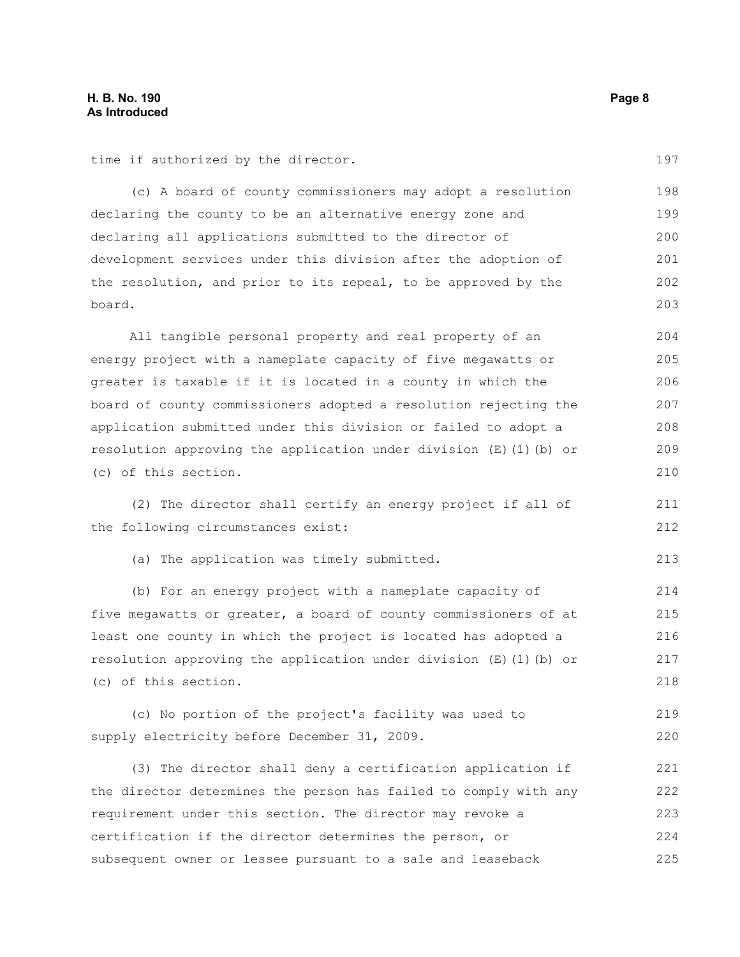time if authorized by the director.

(c) A board of county commissioners may adopt a resolution declaring the county to be an alternative energy zone and declaring all applications submitted to the director of development services under this division after the adoption of the resolution, and prior to its repeal, to be approved by the board. 198 199 200 201 202 203

All tangible personal property and real property of an energy project with a nameplate capacity of five megawatts or greater is taxable if it is located in a county in which the board of county commissioners adopted a resolution rejecting the application submitted under this division or failed to adopt a resolution approving the application under division (E)(1)(b) or (c) of this section. 204 205 206 207 208 209 210

(2) The director shall certify an energy project if all of the following circumstances exist: 211 212

(a) The application was timely submitted.

(b) For an energy project with a nameplate capacity of five megawatts or greater, a board of county commissioners of at least one county in which the project is located has adopted a resolution approving the application under division  $(E)$  (1)(b) or (c) of this section. 214 215 216 217 218

(c) No portion of the project's facility was used to supply electricity before December 31, 2009. 219 220

(3) The director shall deny a certification application if the director determines the person has failed to comply with any requirement under this section. The director may revoke a certification if the director determines the person, or subsequent owner or lessee pursuant to a sale and leaseback 221 222 223 224 225

197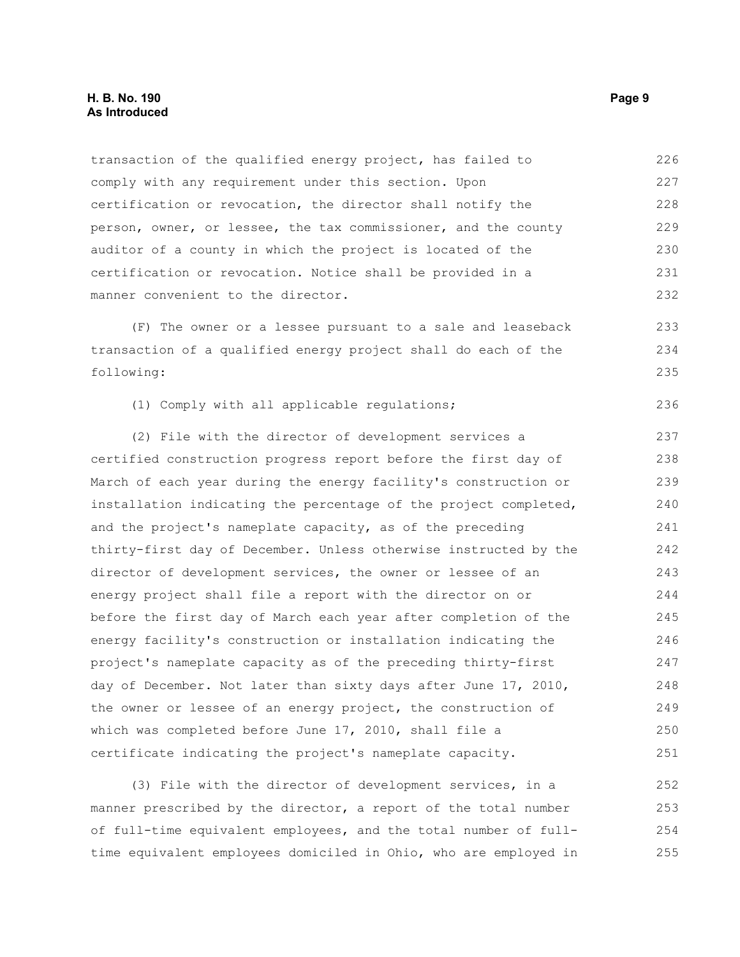## **H. B. No. 190 Page 9 As Introduced**

transaction of the qualified energy project, has failed to comply with any requirement under this section. Upon certification or revocation, the director shall notify the person, owner, or lessee, the tax commissioner, and the county auditor of a county in which the project is located of the certification or revocation. Notice shall be provided in a manner convenient to the director. 226 227 228 229 230 231 232

(F) The owner or a lessee pursuant to a sale and leaseback transaction of a qualified energy project shall do each of the following: 233 234 235

(1) Comply with all applicable regulations; 236

(2) File with the director of development services a certified construction progress report before the first day of March of each year during the energy facility's construction or installation indicating the percentage of the project completed, and the project's nameplate capacity, as of the preceding thirty-first day of December. Unless otherwise instructed by the director of development services, the owner or lessee of an energy project shall file a report with the director on or before the first day of March each year after completion of the energy facility's construction or installation indicating the project's nameplate capacity as of the preceding thirty-first day of December. Not later than sixty days after June 17, 2010, the owner or lessee of an energy project, the construction of which was completed before June 17, 2010, shall file a certificate indicating the project's nameplate capacity. 237 238 239 240 241 242 243 244 245 246 247 248 249 250 251

(3) File with the director of development services, in a manner prescribed by the director, a report of the total number of full-time equivalent employees, and the total number of fulltime equivalent employees domiciled in Ohio, who are employed in 252 253 254 255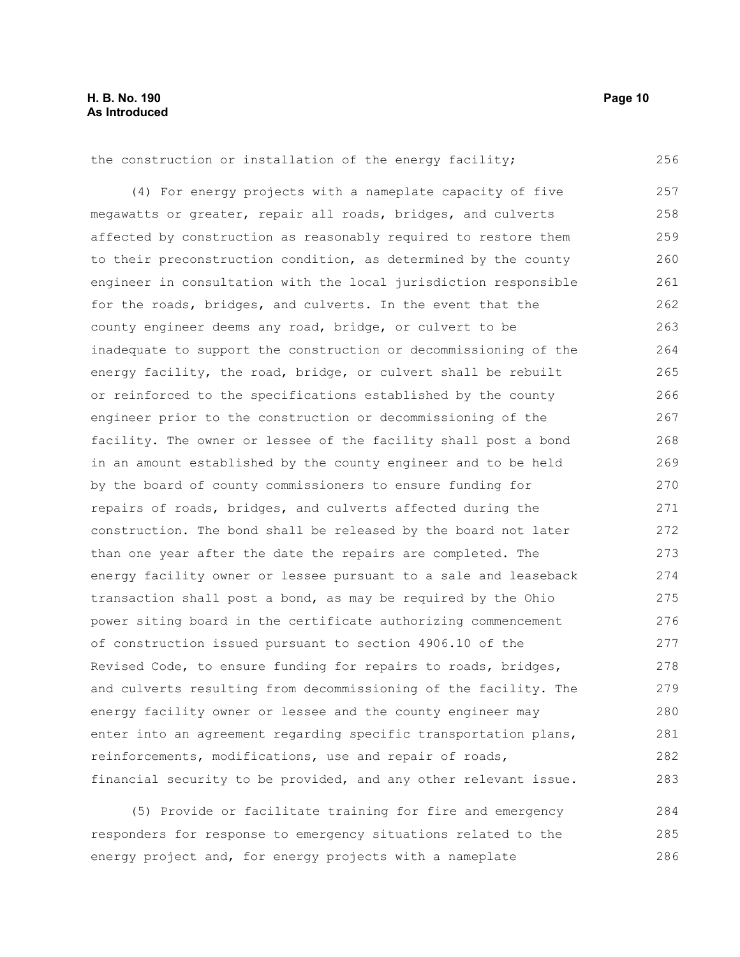256

the construction or installation of the energy facility;

(4) For energy projects with a nameplate capacity of five megawatts or greater, repair all roads, bridges, and culverts affected by construction as reasonably required to restore them to their preconstruction condition, as determined by the county engineer in consultation with the local jurisdiction responsible for the roads, bridges, and culverts. In the event that the county engineer deems any road, bridge, or culvert to be inadequate to support the construction or decommissioning of the energy facility, the road, bridge, or culvert shall be rebuilt or reinforced to the specifications established by the county engineer prior to the construction or decommissioning of the facility. The owner or lessee of the facility shall post a bond in an amount established by the county engineer and to be held by the board of county commissioners to ensure funding for repairs of roads, bridges, and culverts affected during the construction. The bond shall be released by the board not later than one year after the date the repairs are completed. The energy facility owner or lessee pursuant to a sale and leaseback transaction shall post a bond, as may be required by the Ohio power siting board in the certificate authorizing commencement of construction issued pursuant to section 4906.10 of the Revised Code, to ensure funding for repairs to roads, bridges, and culverts resulting from decommissioning of the facility. The energy facility owner or lessee and the county engineer may enter into an agreement regarding specific transportation plans, reinforcements, modifications, use and repair of roads, financial security to be provided, and any other relevant issue. 257 258 259 260 261 262 263 264 265 266 267 268 269 270 271 272 273 274 275 276 277 278 279 280 281 282 283

(5) Provide or facilitate training for fire and emergency responders for response to emergency situations related to the energy project and, for energy projects with a nameplate 284 285 286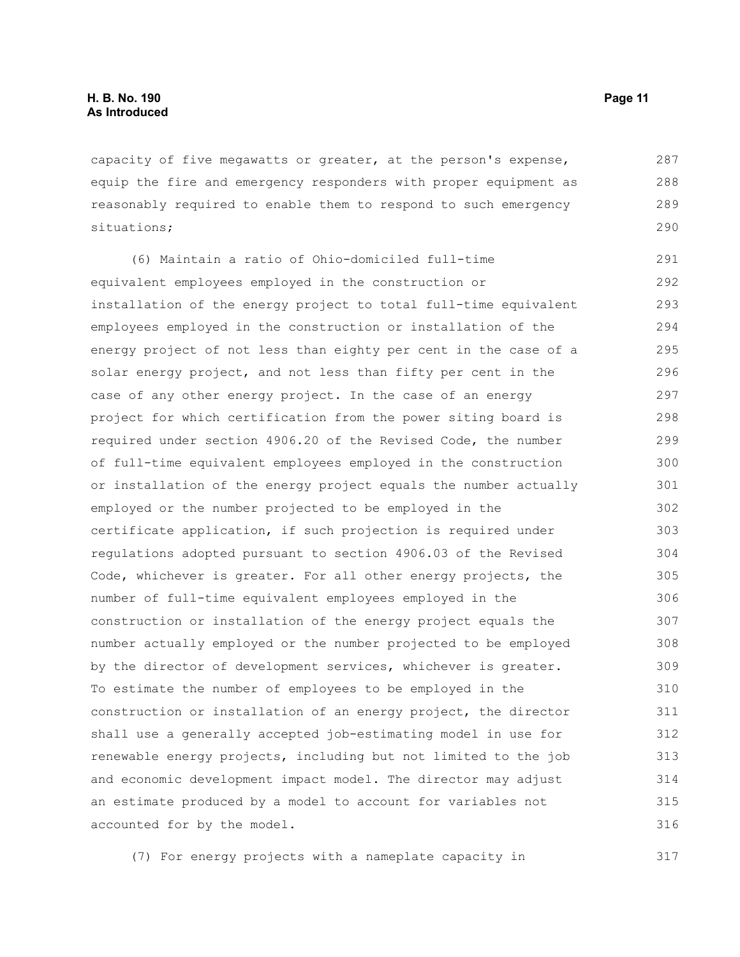capacity of five megawatts or greater, at the person's expense, equip the fire and emergency responders with proper equipment as reasonably required to enable them to respond to such emergency situations; 287 288 289 290

(6) Maintain a ratio of Ohio-domiciled full-time equivalent employees employed in the construction or installation of the energy project to total full-time equivalent employees employed in the construction or installation of the energy project of not less than eighty per cent in the case of a solar energy project, and not less than fifty per cent in the case of any other energy project. In the case of an energy project for which certification from the power siting board is required under section 4906.20 of the Revised Code, the number of full-time equivalent employees employed in the construction or installation of the energy project equals the number actually employed or the number projected to be employed in the certificate application, if such projection is required under regulations adopted pursuant to section 4906.03 of the Revised Code, whichever is greater. For all other energy projects, the number of full-time equivalent employees employed in the construction or installation of the energy project equals the number actually employed or the number projected to be employed by the director of development services, whichever is greater. To estimate the number of employees to be employed in the construction or installation of an energy project, the director shall use a generally accepted job-estimating model in use for renewable energy projects, including but not limited to the job and economic development impact model. The director may adjust an estimate produced by a model to account for variables not accounted for by the model. 291 292 293 294 295 296 297 298 299 300 301 302 303 304 305 306 307 308 309 310 311 312 313 314 315 316

(7) For energy projects with a nameplate capacity in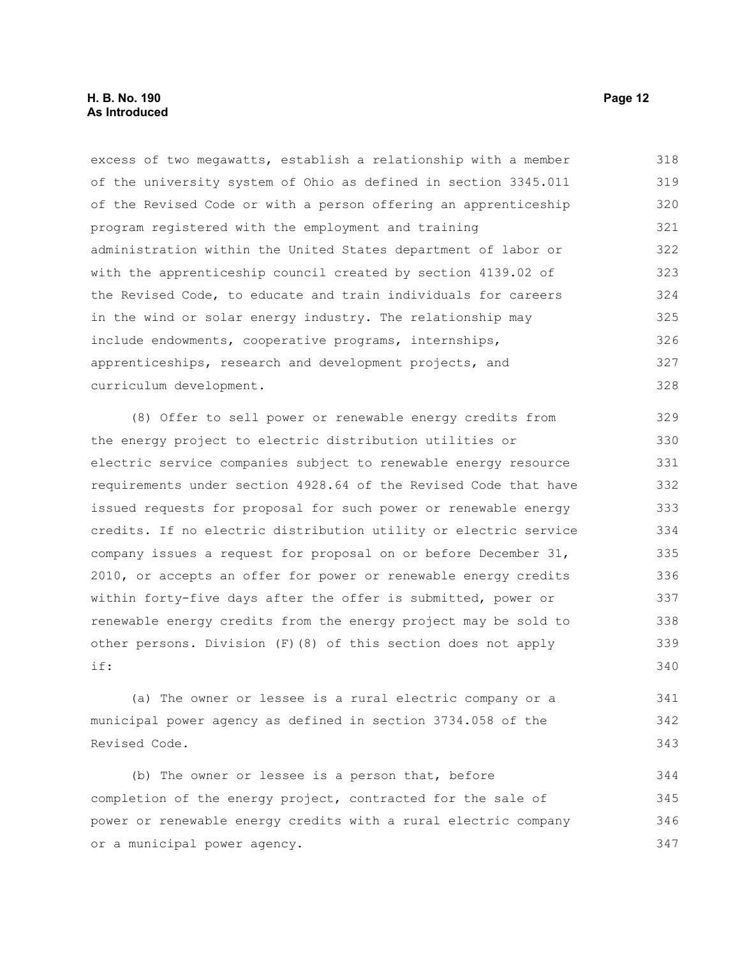excess of two megawatts, establish a relationship with a member of the university system of Ohio as defined in section 3345.011 of the Revised Code or with a person offering an apprenticeship program registered with the employment and training administration within the United States department of labor or with the apprenticeship council created by section 4139.02 of the Revised Code, to educate and train individuals for careers in the wind or solar energy industry. The relationship may include endowments, cooperative programs, internships, apprenticeships, research and development projects, and curriculum development. 318 319 320 321 322 323 324 325 326 327 328

(8) Offer to sell power or renewable energy credits from the energy project to electric distribution utilities or electric service companies subject to renewable energy resource requirements under section 4928.64 of the Revised Code that have issued requests for proposal for such power or renewable energy credits. If no electric distribution utility or electric service company issues a request for proposal on or before December 31, 2010, or accepts an offer for power or renewable energy credits within forty-five days after the offer is submitted, power or renewable energy credits from the energy project may be sold to other persons. Division (F)(8) of this section does not apply if: 329 330 331 332 333 334 335 336 337 338 339 340

(a) The owner or lessee is a rural electric company or a municipal power agency as defined in section 3734.058 of the Revised Code. 341 342 343

(b) The owner or lessee is a person that, before completion of the energy project, contracted for the sale of power or renewable energy credits with a rural electric company or a municipal power agency. 344 345 346 347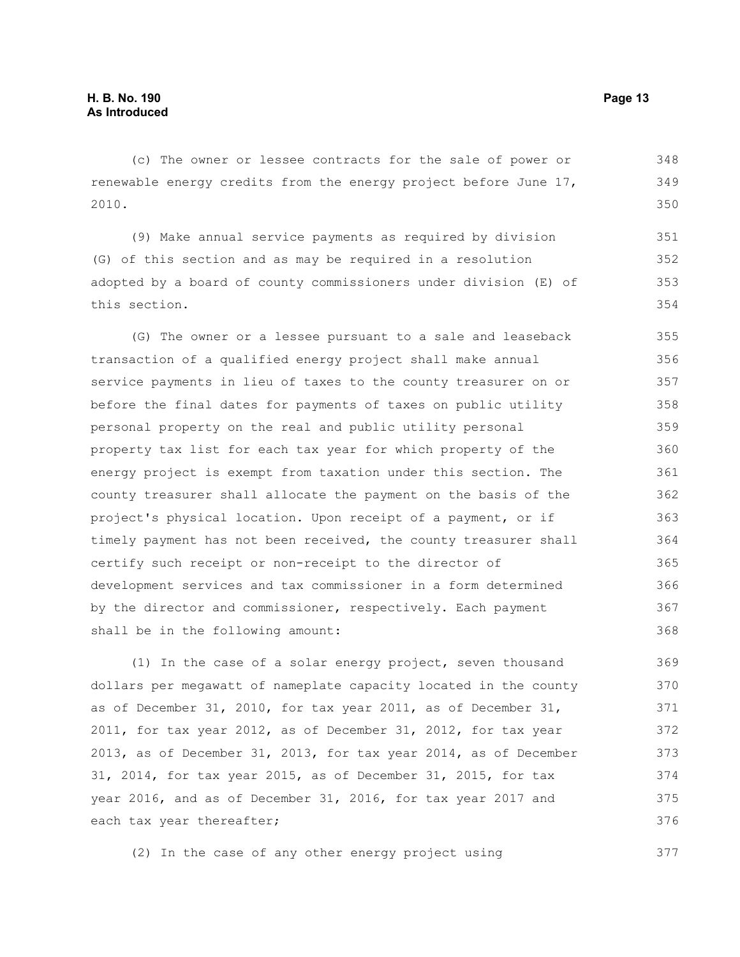(c) The owner or lessee contracts for the sale of power or renewable energy credits from the energy project before June 17, 2010. 348 349 350

(9) Make annual service payments as required by division (G) of this section and as may be required in a resolution adopted by a board of county commissioners under division (E) of this section. 351 352 353 354

(G) The owner or a lessee pursuant to a sale and leaseback transaction of a qualified energy project shall make annual service payments in lieu of taxes to the county treasurer on or before the final dates for payments of taxes on public utility personal property on the real and public utility personal property tax list for each tax year for which property of the energy project is exempt from taxation under this section. The county treasurer shall allocate the payment on the basis of the project's physical location. Upon receipt of a payment, or if timely payment has not been received, the county treasurer shall certify such receipt or non-receipt to the director of development services and tax commissioner in a form determined by the director and commissioner, respectively. Each payment shall be in the following amount: 355 356 357 358 359 360 361 362 363 364 365 366 367 368

(1) In the case of a solar energy project, seven thousand dollars per megawatt of nameplate capacity located in the county as of December 31, 2010, for tax year 2011, as of December 31, 2011, for tax year 2012, as of December 31, 2012, for tax year 2013, as of December 31, 2013, for tax year 2014, as of December 31, 2014, for tax year 2015, as of December 31, 2015, for tax year 2016, and as of December 31, 2016, for tax year 2017 and each tax year thereafter; 369 370 371 372 373 374 375 376

(2) In the case of any other energy project using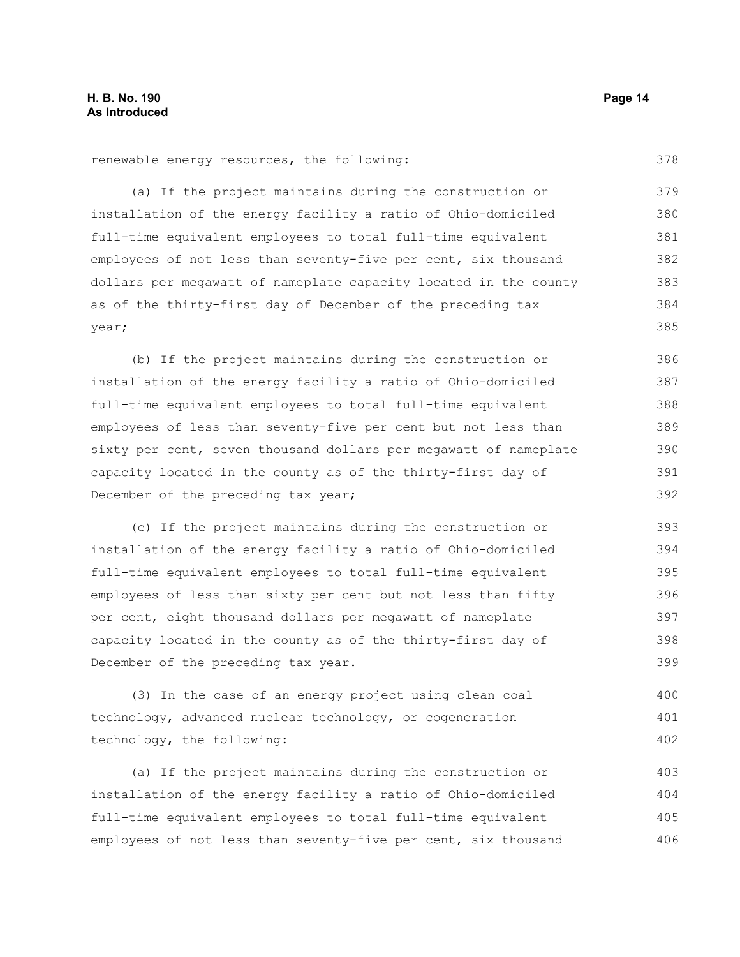378

renewable energy resources, the following:

(a) If the project maintains during the construction or installation of the energy facility a ratio of Ohio-domiciled full-time equivalent employees to total full-time equivalent employees of not less than seventy-five per cent, six thousand dollars per megawatt of nameplate capacity located in the county as of the thirty-first day of December of the preceding tax year; 379 380 381 382 383 384 385

(b) If the project maintains during the construction or installation of the energy facility a ratio of Ohio-domiciled full-time equivalent employees to total full-time equivalent employees of less than seventy-five per cent but not less than sixty per cent, seven thousand dollars per megawatt of nameplate capacity located in the county as of the thirty-first day of December of the preceding tax year; 386 387 388 389 390 391 392

(c) If the project maintains during the construction or installation of the energy facility a ratio of Ohio-domiciled full-time equivalent employees to total full-time equivalent employees of less than sixty per cent but not less than fifty per cent, eight thousand dollars per megawatt of nameplate capacity located in the county as of the thirty-first day of December of the preceding tax year. 393 394 395 396 397 398 399

(3) In the case of an energy project using clean coal technology, advanced nuclear technology, or cogeneration technology, the following: 400 401 402

(a) If the project maintains during the construction or installation of the energy facility a ratio of Ohio-domiciled full-time equivalent employees to total full-time equivalent employees of not less than seventy-five per cent, six thousand 403 404 405 406